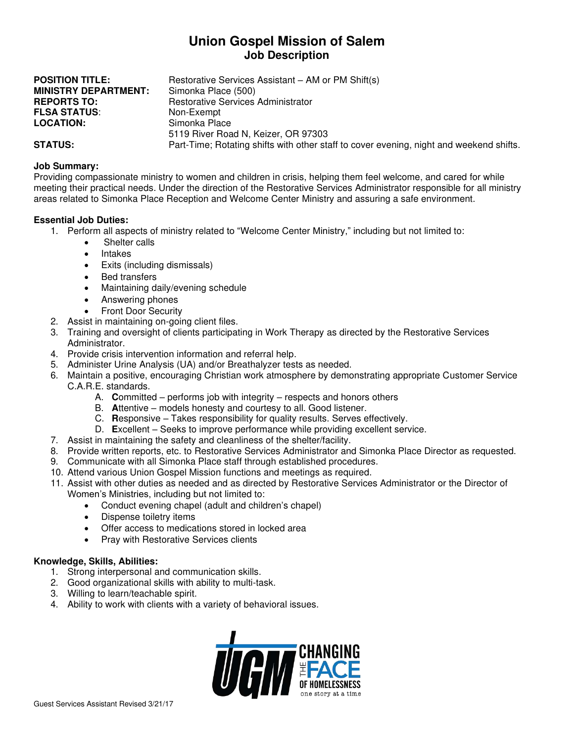# **Union Gospel Mission of Salem Job Description**

| <b>POSITION TITLE:</b>      | Restorative Services Assistant – AM or PM Shift(s)                                      |
|-----------------------------|-----------------------------------------------------------------------------------------|
| <b>MINISTRY DEPARTMENT:</b> | Simonka Place (500)                                                                     |
| <b>REPORTS TO:</b>          | Restorative Services Administrator                                                      |
| <b>FLSA STATUS:</b>         | Non-Exempt                                                                              |
| <b>LOCATION:</b>            | Simonka Place                                                                           |
|                             | 5119 River Road N, Keizer, OR 97303                                                     |
| <b>STATUS:</b>              | Part-Time; Rotating shifts with other staff to cover evening, night and weekend shifts. |

### **Job Summary:**

Providing compassionate ministry to women and children in crisis, helping them feel welcome, and cared for while meeting their practical needs. Under the direction of the Restorative Services Administrator responsible for all ministry areas related to Simonka Place Reception and Welcome Center Ministry and assuring a safe environment.

#### **Essential Job Duties:**

- 1. Perform all aspects of ministry related to "Welcome Center Ministry," including but not limited to:
	- Shelter calls
		- **Intakes**
		- Exits (including dismissals)
		- Bed transfers
		- Maintaining daily/evening schedule
		- Answering phones
		- Front Door Security
- 2. Assist in maintaining on-going client files.
- 3. Training and oversight of clients participating in Work Therapy as directed by the Restorative Services Administrator.
- 4. Provide crisis intervention information and referral help.
- 5. Administer Urine Analysis (UA) and/or Breathalyzer tests as needed.
- 6. Maintain a positive, encouraging Christian work atmosphere by demonstrating appropriate Customer Service C.A.R.E. standards.
	- A. **C**ommitted performs job with integrity respects and honors others
	- B. **A**ttentive models honesty and courtesy to all. Good listener.
	- C. **R**esponsive Takes responsibility for quality results. Serves effectively.
	- D. **E**xcellent Seeks to improve performance while providing excellent service.
- 7. Assist in maintaining the safety and cleanliness of the shelter/facility.
- 8. Provide written reports, etc. to Restorative Services Administrator and Simonka Place Director as requested.
- 9. Communicate with all Simonka Place staff through established procedures.
- 10. Attend various Union Gospel Mission functions and meetings as required.
- 11. Assist with other duties as needed and as directed by Restorative Services Administrator or the Director of Women's Ministries, including but not limited to:
	- Conduct evening chapel (adult and children's chapel)
	- Dispense toiletry items
	- Offer access to medications stored in locked area
	- Pray with Restorative Services clients

#### **Knowledge, Skills, Abilities:**

- 1. Strong interpersonal and communication skills.
- 2. Good organizational skills with ability to multi-task.
- 3. Willing to learn/teachable spirit.
- 4. Ability to work with clients with a variety of behavioral issues.